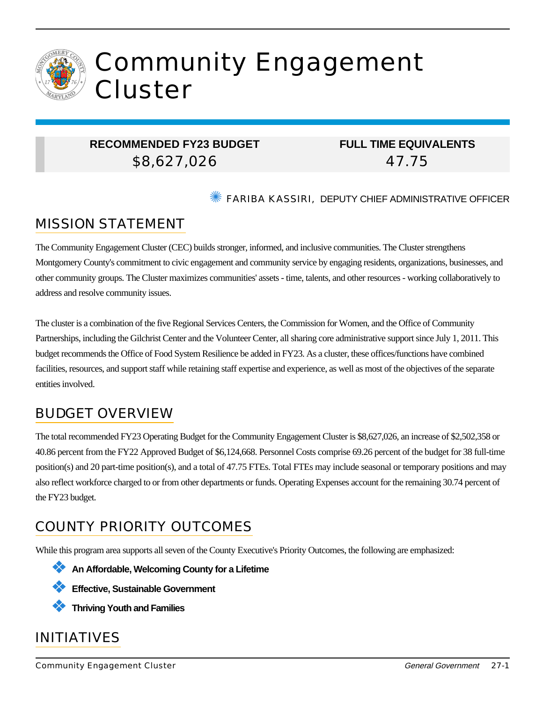

# Community Engagement Cluster

## **RECOMMENDED FY23 BUDGET** \$8,627,026

**FULL TIME EQUIVALENTS** 47.75

✺ FARIBA KASSIRI, DEPUTY CHIEF ADMINISTRATIVE OFFICER

# MISSION STATEMENT

The Community Engagement Cluster (CEC) builds stronger, informed, and inclusive communities. The Cluster strengthens Montgomery County's commitment to civic engagement and community service by engaging residents, organizations, businesses, and other community groups. The Cluster maximizes communities' assets - time, talents, and other resources - working collaboratively to address and resolve community issues.

The cluster is a combination of the five Regional Services Centers, the Commission for Women, and the Office of Community Partnerships, including the Gilchrist Center and the Volunteer Center, all sharing core administrative support since July 1, 2011. This budget recommends the Office of Food System Resilience be added in FY23. As a cluster, these offices/functions have combined facilities, resources, and support staff while retaining staff expertise and experience, as well as most of the objectives of the separate entities involved.

# BUDGET OVERVIEW

The total recommended FY23 Operating Budget for the Community Engagement Cluster is \$8,627,026, an increase of \$2,502,358 or 40.86 percent from the FY22 Approved Budget of \$6,124,668. Personnel Costs comprise 69.26 percent of the budget for 38 full-time position(s) and 20 part-time position(s), and a total of 47.75 FTEs. Total FTEs may include seasonal or temporary positions and may also reflect workforce charged to or from other departments or funds. Operating Expenses account for the remaining 30.74 percent of the FY23 budget.

# COUNTY PRIORITY OUTCOMES

While this program area supports all seven of the County Executive's Priority Outcomes, the following are emphasized:





❖ **Thriving Youth and Families**

# INITIATIVES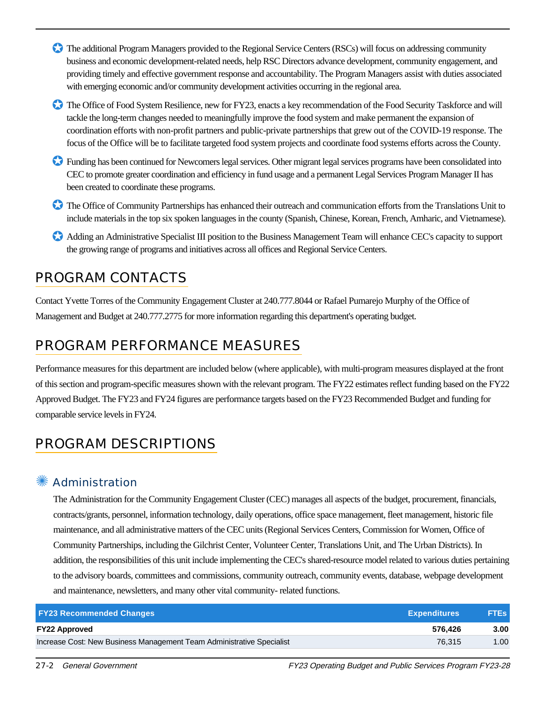- ✪ The additional Program Managers provided to the Regional Service Centers (RSCs) will focus on addressing community business and economic development-related needs, help RSC Directors advance development, community engagement, and providing timely and effective government response and accountability. The Program Managers assist with duties associated with emerging economic and/or community development activities occurring in the regional area.
- The Office of Food System Resilience, new for FY23, enacts a key recommendation of the Food Security Taskforce and will tackle the long-term changes needed to meaningfully improve the food system and make permanent the expansion of coordination efforts with non-profit partners and public-private partnerships that grew out of the COVID-19 response. The focus of the Office will be to facilitate targeted food system projects and coordinate food systems efforts across the County.
- ✪ Funding has been continued for Newcomers legal services. Other migrant legal services programs have been consolidated into CEC to promote greater coordination and efficiency in fund usage and a permanent Legal Services Program Manager II has been created to coordinate these programs.
- ✪ The Office of Community Partnerships has enhanced their outreach and communication efforts from the Translations Unit to include materials in the top six spoken languages in the county (Spanish, Chinese, Korean, French, Amharic, and Vietnamese).
- ✪ Adding an Administrative Specialist III position to the Business Management Team will enhance CEC's capacity to support the growing range of programs and initiatives across all offices and Regional Service Centers.

## PROGRAM CONTACTS

Contact Yvette Torres of the Community Engagement Cluster at 240.777.8044 or Rafael Pumarejo Murphy of the Office of Management and Budget at 240.777.2775 for more information regarding this department's operating budget.

# PROGRAM PERFORMANCE MEASURES

Performance measures for this department are included below (where applicable), with multi-program measures displayed at the front of this section and program-specific measures shown with the relevant program. The FY22 estimates reflect funding based on the FY22 Approved Budget. The FY23 and FY24 figures are performance targets based on the FY23 Recommended Budget and funding for comparable service levels in FY24.

# PROGRAM DESCRIPTIONS

## **Administration**

The Administration for the Community Engagement Cluster (CEC) manages all aspects of the budget, procurement, financials, contracts/grants, personnel, information technology, daily operations, office space management, fleet management, historic file maintenance, and all administrative matters of the CEC units (Regional Services Centers, Commission for Women, Office of Community Partnerships, including the Gilchrist Center, Volunteer Center, Translations Unit, and The Urban Districts). In addition, the responsibilities of this unit include implementing the CEC's shared-resource model related to various duties pertaining to the advisory boards, committees and commissions, community outreach, community events, database, webpage development and maintenance, newsletters, and many other vital community- related functions.

| <b>FY23 Recommended Changes</b>                                       | <b>Expenditures</b> | <b>FTEs</b> |
|-----------------------------------------------------------------------|---------------------|-------------|
| <b>FY22 Approved</b>                                                  | 576.426             | 3.00        |
| Increase Cost: New Business Management Team Administrative Specialist | 76.315              | 1.00        |

27-2 General Government FY23 Operating Budget and Public Services Program FY23-28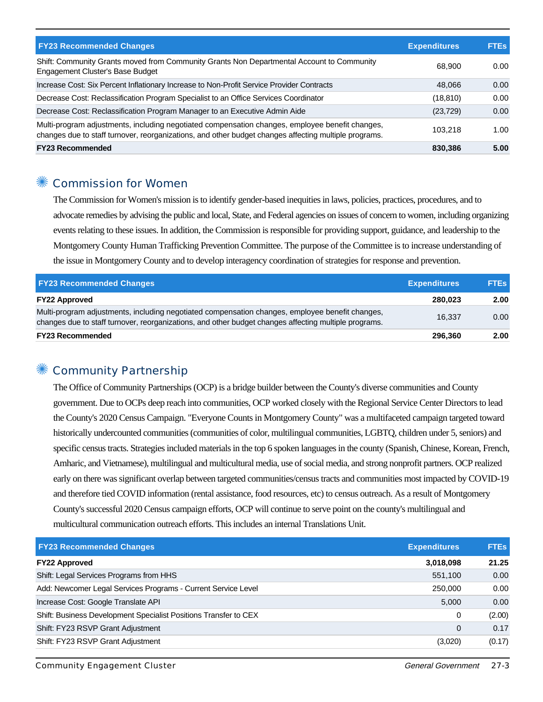| <b>FY23 Recommended Changes</b>                                                                                                                                                                          | <b>Expenditures</b> | <b>FTEs</b> |
|----------------------------------------------------------------------------------------------------------------------------------------------------------------------------------------------------------|---------------------|-------------|
| Shift: Community Grants moved from Community Grants Non Departmental Account to Community<br>Engagement Cluster's Base Budget                                                                            | 68,900              | 0.00        |
| Increase Cost: Six Percent Inflationary Increase to Non-Profit Service Provider Contracts                                                                                                                | 48.066              | 0.00        |
| Decrease Cost: Reclassification Program Specialist to an Office Services Coordinator                                                                                                                     | (18, 810)           | 0.00        |
| Decrease Cost: Reclassification Program Manager to an Executive Admin Aide                                                                                                                               | (23, 729)           | 0.00        |
| Multi-program adjustments, including negotiated compensation changes, employee benefit changes,<br>changes due to staff turnover, reorganizations, and other budget changes affecting multiple programs. | 103.218             | 1.00        |
| <b>FY23 Recommended</b>                                                                                                                                                                                  | 830.386             | 5.00        |

#### ✺ Commission for Women

The Commission for Women's mission is to identify gender-based inequities in laws, policies, practices, procedures, and to advocate remedies by advising the public and local, State, and Federal agencies on issues of concern to women, including organizing events relating to these issues. In addition, the Commission is responsible for providing support, guidance, and leadership to the Montgomery County Human Trafficking Prevention Committee. The purpose of the Committee is to increase understanding of the issue in Montgomery County and to develop interagency coordination of strategies for response and prevention.

| <b>FY23 Recommended Changes</b>                                                                                                                                                                          | <b>Expenditures</b> | <b>FTEs</b> |
|----------------------------------------------------------------------------------------------------------------------------------------------------------------------------------------------------------|---------------------|-------------|
| <b>FY22 Approved</b>                                                                                                                                                                                     | 280.023             | 2.00        |
| Multi-program adjustments, including negotiated compensation changes, employee benefit changes,<br>changes due to staff turnover, reorganizations, and other budget changes affecting multiple programs. | 16.337              | 0.00        |
| <b>FY23 Recommended</b>                                                                                                                                                                                  | 296.360             | 2.00        |

#### Community Partnership

The Office of Community Partnerships (OCP) is a bridge builder between the County's diverse communities and County government. Due to OCPs deep reach into communities, OCP worked closely with the Regional Service Center Directors to lead the County's 2020 Census Campaign. "Everyone Counts in Montgomery County" was a multifaceted campaign targeted toward historically undercounted communities (communities of color, multilingual communities, LGBTQ, children under 5, seniors) and specific census tracts. Strategies included materials in the top 6 spoken languages in the county (Spanish, Chinese, Korean, French, Amharic, and Vietnamese), multilingual and multicultural media, use of social media, and strong nonprofit partners. OCP realized early on there was significant overlap between targeted communities/census tracts and communities most impacted by COVID-19 and therefore tied COVID information (rental assistance, food resources, etc) to census outreach. As a result of Montgomery County's successful 2020 Census campaign efforts, OCP will continue to serve point on the county's multilingual and multicultural communication outreach efforts. This includes an internal Translations Unit.

| <b>FY23 Recommended Changes</b><br><b>Expenditures</b>           |           | <b>FTEs</b> |
|------------------------------------------------------------------|-----------|-------------|
| <b>FY22 Approved</b>                                             | 3,018,098 | 21.25       |
| Shift: Legal Services Programs from HHS                          | 551,100   | 0.00        |
| Add: Newcomer Legal Services Programs - Current Service Level    | 250,000   | 0.00        |
| Increase Cost: Google Translate API                              | 5.000     | 0.00        |
| Shift: Business Development Specialist Positions Transfer to CEX | 0         | (2.00)      |
| Shift: FY23 RSVP Grant Adjustment                                | 0         | 0.17        |
| Shift: FY23 RSVP Grant Adjustment                                | (3,020)   | (0.17)      |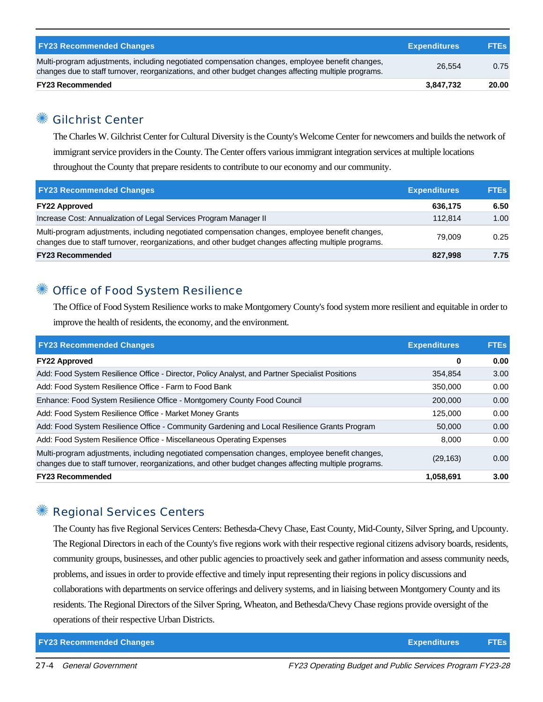| <b>FY23 Recommended Changes</b>                                                                                                                                                                          | <b>Expenditures</b> | <b>FTEs</b> |
|----------------------------------------------------------------------------------------------------------------------------------------------------------------------------------------------------------|---------------------|-------------|
| Multi-program adjustments, including negotiated compensation changes, employee benefit changes,<br>changes due to staff turnover, reorganizations, and other budget changes affecting multiple programs. | 26.554              | 0.75        |
| <b>FY23 Recommended</b>                                                                                                                                                                                  | 3.847.732           | 20.00       |

## **Gilchrist Center**

The Charles W. Gilchrist Center for Cultural Diversity is the County's Welcome Center for newcomers and builds the network of immigrant service providers in the County. The Center offers various immigrant integration services at multiple locations throughout the County that prepare residents to contribute to our economy and our community.

| <b>FY23 Recommended Changes</b>                                                                                                                                                                          | <b>Expenditures</b> | <b>FTEs</b> |
|----------------------------------------------------------------------------------------------------------------------------------------------------------------------------------------------------------|---------------------|-------------|
| <b>FY22 Approved</b>                                                                                                                                                                                     | 636,175             | 6.50        |
| Increase Cost: Annualization of Legal Services Program Manager II                                                                                                                                        | 112.814             | 1.00        |
| Multi-program adjustments, including negotiated compensation changes, employee benefit changes,<br>changes due to staff turnover, reorganizations, and other budget changes affecting multiple programs. | 79.009              | 0.25        |
| <b>FY23 Recommended</b>                                                                                                                                                                                  | 827.998             | 7.75        |

#### Office of Food System Resilience

The Office of Food System Resilience works to make Montgomery County's food system more resilient and equitable in order to improve the health of residents, the economy, and the environment.

| <b>FY23 Recommended Changes</b>                                                                                                                                                                          | <b>Expenditures</b> | <b>FTEs</b> |
|----------------------------------------------------------------------------------------------------------------------------------------------------------------------------------------------------------|---------------------|-------------|
| <b>FY22 Approved</b>                                                                                                                                                                                     | 0                   | 0.00        |
| Add: Food System Resilience Office - Director, Policy Analyst, and Partner Specialist Positions                                                                                                          | 354.854             | 3.00        |
| Add: Food System Resilience Office - Farm to Food Bank                                                                                                                                                   | 350,000             | 0.00        |
| Enhance: Food System Resilience Office - Montgomery County Food Council                                                                                                                                  | 200,000             | 0.00        |
| Add: Food System Resilience Office - Market Money Grants                                                                                                                                                 | 125.000             | 0.00        |
| Add: Food System Resilience Office - Community Gardening and Local Resilience Grants Program                                                                                                             | 50,000              | 0.00        |
| Add: Food System Resilience Office - Miscellaneous Operating Expenses                                                                                                                                    | 8.000               | 0.00        |
| Multi-program adjustments, including negotiated compensation changes, employee benefit changes,<br>changes due to staff turnover, reorganizations, and other budget changes affecting multiple programs. | (29, 163)           | 0.00        |
| <b>FY23 Recommended</b>                                                                                                                                                                                  | 1,058,691           | 3.00        |

## ✺ Regional Services Centers

The County has five Regional Services Centers: Bethesda-Chevy Chase, East County, Mid-County, Silver Spring, and Upcounty. The Regional Directors in each of the County's five regions work with their respective regional citizens advisory boards, residents, community groups, businesses, and other public agencies to proactively seek and gather information and assess community needs, problems, and issues in order to provide effective and timely input representing their regions in policy discussions and collaborations with departments on service offerings and delivery systems, and in liaising between Montgomery County and its residents. The Regional Directors of the Silver Spring, Wheaton, and Bethesda/Chevy Chase regions provide oversight of the operations of their respective Urban Districts.

**FY23 Recommended Changes Expenditures FTEs**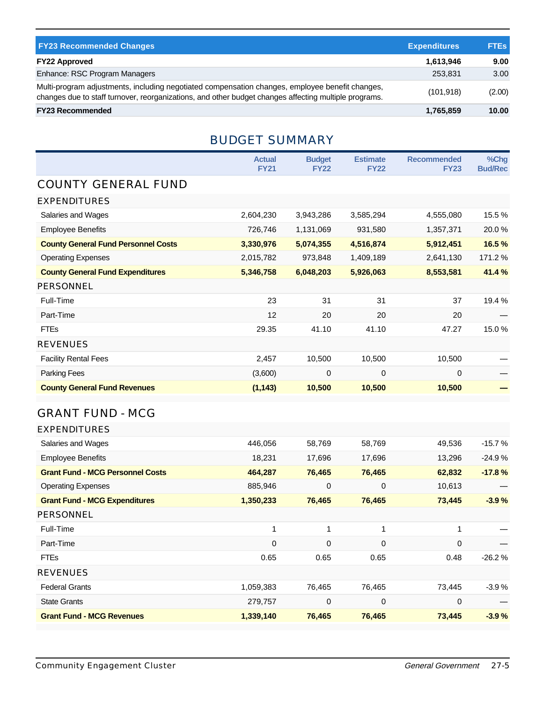| <b>FY23 Recommended Changes</b>                                                                                                                                                                          | <b>Expenditures</b> | <b>FTEs</b> |
|----------------------------------------------------------------------------------------------------------------------------------------------------------------------------------------------------------|---------------------|-------------|
| <b>FY22 Approved</b>                                                                                                                                                                                     | 1,613,946           | 9.00        |
| Enhance: RSC Program Managers                                                                                                                                                                            | 253.831             | 3.00        |
| Multi-program adjustments, including negotiated compensation changes, employee benefit changes,<br>changes due to staff turnover, reorganizations, and other budget changes affecting multiple programs. | (101, 918)          | (2.00)      |
| <b>FY23 Recommended</b>                                                                                                                                                                                  | 1,765,859           | 10.00       |

## BUDGET SUMMARY

|                                            | <b>Actual</b><br><b>FY21</b> | <b>Budget</b><br><b>FY22</b> | <b>Estimate</b><br><b>FY22</b> | <b>Recommended</b><br><b>FY23</b> | %Chg<br><b>Bud/Rec</b> |
|--------------------------------------------|------------------------------|------------------------------|--------------------------------|-----------------------------------|------------------------|
| <b>COUNTY GENERAL FUND</b>                 |                              |                              |                                |                                   |                        |
| <b>EXPENDITURES</b>                        |                              |                              |                                |                                   |                        |
| Salaries and Wages                         | 2,604,230                    | 3,943,286                    | 3,585,294                      | 4,555,080                         | 15.5%                  |
| <b>Employee Benefits</b>                   | 726,746                      | 1,131,069                    | 931,580                        | 1,357,371                         | 20.0%                  |
| <b>County General Fund Personnel Costs</b> | 3,330,976                    | 5,074,355                    | 4,516,874                      | 5,912,451                         | 16.5%                  |
| <b>Operating Expenses</b>                  | 2,015,782                    | 973,848                      | 1,409,189                      | 2,641,130                         | 171.2 %                |
| <b>County General Fund Expenditures</b>    | 5,346,758                    | 6,048,203                    | 5,926,063                      | 8,553,581                         | 41.4%                  |
| <b>PERSONNEL</b>                           |                              |                              |                                |                                   |                        |
| Full-Time                                  | 23                           | 31                           | 31                             | 37                                | 19.4 %                 |
| Part-Time                                  | 12                           | 20                           | 20                             | 20                                |                        |
| <b>FTEs</b>                                | 29.35                        | 41.10                        | 41.10                          | 47.27                             | 15.0%                  |
| <b>REVENUES</b>                            |                              |                              |                                |                                   |                        |
| <b>Facility Rental Fees</b>                | 2,457                        | 10,500                       | 10,500                         | 10,500                            |                        |
| Parking Fees                               | (3,600)                      | 0                            | $\mathbf 0$                    | 0                                 |                        |
| <b>County General Fund Revenues</b>        | (1, 143)                     | 10,500                       | 10,500                         | 10,500                            |                        |

## GRANT FUND - MCG

| <b>EXPENDITURES</b>                     |           |             |        |        |          |
|-----------------------------------------|-----------|-------------|--------|--------|----------|
| Salaries and Wages                      | 446,056   | 58,769      | 58,769 | 49,536 | $-15.7%$ |
| <b>Employee Benefits</b>                | 18,231    | 17,696      | 17,696 | 13,296 | $-24.9%$ |
| <b>Grant Fund - MCG Personnel Costs</b> | 464,287   | 76,465      | 76,465 | 62,832 | $-17.8%$ |
| <b>Operating Expenses</b>               | 885,946   | 0           | 0      | 10,613 |          |
| <b>Grant Fund - MCG Expenditures</b>    | 1,350,233 | 76,465      | 76,465 | 73,445 | $-3.9%$  |
| <b>PERSONNEL</b>                        |           |             |        |        |          |
| Full-Time                               | 1         | 1           | 1      |        |          |
| Part-Time                               | 0         | 0           | 0      | 0      |          |
| <b>FTEs</b>                             | 0.65      | 0.65        | 0.65   | 0.48   | $-26.2%$ |
| <b>REVENUES</b>                         |           |             |        |        |          |
| <b>Federal Grants</b>                   | 1,059,383 | 76,465      | 76,465 | 73,445 | $-3.9%$  |
| <b>State Grants</b>                     | 279,757   | $\mathbf 0$ | 0      | 0      |          |
| <b>Grant Fund - MCG Revenues</b>        | 1,339,140 | 76,465      | 76,465 | 73,445 | $-3.9%$  |
|                                         |           |             |        |        |          |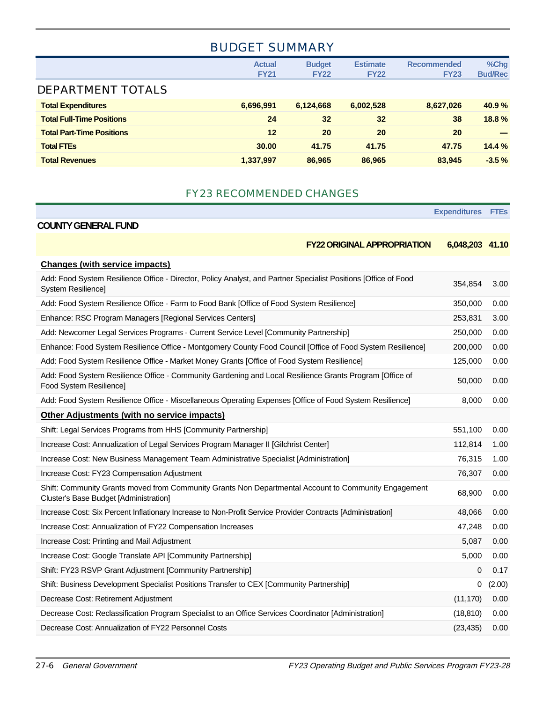# BUDGET SUMMARY

|                                  | <b>Actual</b><br><b>FY21</b> | <b>Budget</b><br><b>FY22</b> | <b>Estimate</b><br><b>FY22</b> | <b>Recommended</b><br><b>FY23</b> | %Chg<br><b>Bud/Rec</b> |
|----------------------------------|------------------------------|------------------------------|--------------------------------|-----------------------------------|------------------------|
| <b>DEPARTMENT TOTALS</b>         |                              |                              |                                |                                   |                        |
| <b>Total Expenditures</b>        | 6,696,991                    | 6,124,668                    | 6,002,528                      | 8,627,026                         | 40.9%                  |
| <b>Total Full-Time Positions</b> | 24                           | 32 <sub>2</sub>              | 32                             | 38                                | 18.8%                  |
| <b>Total Part-Time Positions</b> | 12                           | 20                           | 20                             | 20                                |                        |
| <b>Total FTEs</b>                | 30.00                        | 41.75                        | 41.75                          | 47.75                             | 14.4%                  |
| <b>Total Revenues</b>            | 1,337,997                    | 86,965                       | 86,965                         | 83.945                            | $-3.5%$                |

#### FY23 RECOMMENDED CHANGES

**Expenditures FTEs**

|                                                                                                                                                | <b>FY22 ORIGINAL APPROPRIATION</b><br>6,048,203 41.10 |        |
|------------------------------------------------------------------------------------------------------------------------------------------------|-------------------------------------------------------|--------|
| <b>Changes (with service impacts)</b>                                                                                                          |                                                       |        |
| Add: Food System Resilience Office - Director, Policy Analyst, and Partner Specialist Positions [Office of Food<br>System Resilience]          | 354,854                                               | 3.00   |
| Add: Food System Resilience Office - Farm to Food Bank [Office of Food System Resilience]                                                      | 350,000                                               | 0.00   |
| Enhance: RSC Program Managers [Regional Services Centers]                                                                                      | 253,831                                               | 3.00   |
| Add: Newcomer Legal Services Programs - Current Service Level [Community Partnership]                                                          | 250,000                                               | 0.00   |
| Enhance: Food System Resilience Office - Montgomery County Food Council [Office of Food System Resilience]                                     | 200,000                                               | 0.00   |
| Add: Food System Resilience Office - Market Money Grants [Office of Food System Resilience]                                                    | 125,000                                               | 0.00   |
| Add: Food System Resilience Office - Community Gardening and Local Resilience Grants Program [Office of<br>Food System Resilience]             | 50,000                                                | 0.00   |
| Add: Food System Resilience Office - Miscellaneous Operating Expenses [Office of Food System Resilience]                                       | 8,000                                                 | 0.00   |
| Other Adjustments (with no service impacts)                                                                                                    |                                                       |        |
| Shift: Legal Services Programs from HHS [Community Partnership]                                                                                | 551,100                                               | 0.00   |
| Increase Cost: Annualization of Legal Services Program Manager II [Gilchrist Center]                                                           | 112,814                                               | 1.00   |
| Increase Cost: New Business Management Team Administrative Specialist [Administration]                                                         | 76,315                                                | 1.00   |
| Increase Cost: FY23 Compensation Adjustment                                                                                                    | 76,307                                                | 0.00   |
| Shift: Community Grants moved from Community Grants Non Departmental Account to Community Engagement<br>Cluster's Base Budget [Administration] | 68,900                                                | 0.00   |
| Increase Cost: Six Percent Inflationary Increase to Non-Profit Service Provider Contracts [Administration]                                     | 48,066                                                | 0.00   |
| Increase Cost: Annualization of FY22 Compensation Increases                                                                                    | 47,248                                                | 0.00   |
| Increase Cost: Printing and Mail Adjustment                                                                                                    | 5,087                                                 | 0.00   |
| Increase Cost: Google Translate API [Community Partnership]                                                                                    | 5,000                                                 | 0.00   |
| Shift: FY23 RSVP Grant Adjustment [Community Partnership]                                                                                      | 0                                                     | 0.17   |
| Shift: Business Development Specialist Positions Transfer to CEX [Community Partnership]                                                       | 0                                                     | (2.00) |
| Decrease Cost: Retirement Adjustment                                                                                                           | (11, 170)                                             | 0.00   |
| Decrease Cost: Reclassification Program Specialist to an Office Services Coordinator [Administration]                                          | (18, 810)                                             | 0.00   |
| Decrease Cost: Annualization of FY22 Personnel Costs                                                                                           | (23, 435)                                             | 0.00   |

**COUNTY GENERAL FUND**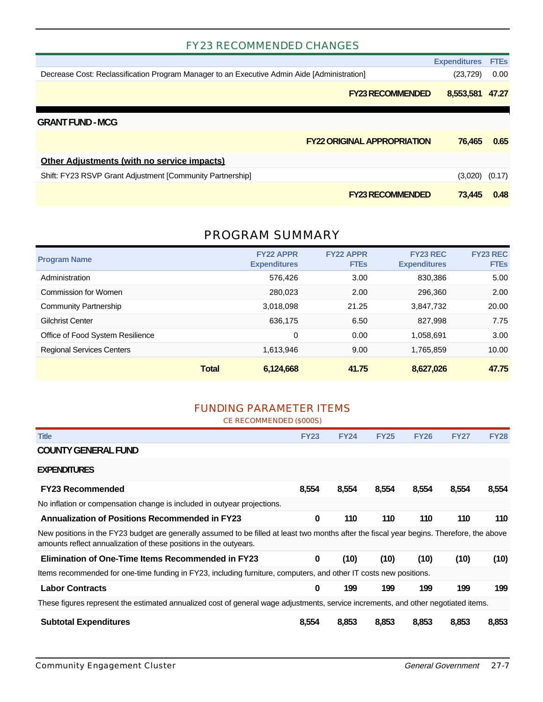#### FY23 RECOMMENDED CHANGES

|                                                                                             | <b>Expenditures</b> | <b>FTEs</b> |
|---------------------------------------------------------------------------------------------|---------------------|-------------|
| Decrease Cost: Reclassification Program Manager to an Executive Admin Aide [Administration] | (23, 729)           | 0.00        |
| <b>FY23 RECOMMENDED</b>                                                                     | 8,553,581           | 47.27       |
| <b>GRANT FUND - MCG</b>                                                                     |                     |             |
| <b>FY22 ORIGINAL APPROPRIATION</b>                                                          | 76.465              | 0.65        |
| <b>Other Adjustments (with no service impacts)</b>                                          |                     |             |
| Shift: FY23 RSVP Grant Adjustment [Community Partnership]                                   | $(3,020)$ $(0.17)$  |             |
| <b>FY23 RECOMMENDED</b>                                                                     | 73.445              | 0.48        |

#### PROGRAM SUMMARY

| <b>Program Name</b>              |              | <b>FY22 APPR</b><br><b>Expenditures</b> | <b>FY22 APPR</b><br><b>FTEs</b> | <b>FY23 REC</b><br><b>Expenditures</b> | <b>FY23 REC</b><br><b>FTEs</b> |
|----------------------------------|--------------|-----------------------------------------|---------------------------------|----------------------------------------|--------------------------------|
| Administration                   |              | 576,426                                 | 3.00                            | 830,386                                | 5.00                           |
| Commission for Women             |              | 280,023                                 | 2.00                            | 296,360                                | 2.00                           |
| Community Partnership            |              | 3,018,098                               | 21.25                           | 3,847,732                              | 20.00                          |
| Gilchrist Center                 |              | 636.175                                 | 6.50                            | 827,998                                | 7.75                           |
| Office of Food System Resilience |              | 0                                       | 0.00                            | 1.058.691                              | 3.00                           |
| <b>Regional Services Centers</b> |              | 1,613,946                               | 9.00                            | 1,765,859                              | 10.00                          |
|                                  | <b>Total</b> | 6,124,668                               | 41.75                           | 8,627,026                              | 47.75                          |

#### FUNDING PARAMETER ITEMS

CE RECOMMENDED (\$000S)

| <b>Title</b>                                                                                                                                                                                                    | <b>FY23</b> | <b>FY24</b> | <b>FY25</b> | <b>FY26</b> | <b>FY27</b> | <b>FY28</b> |
|-----------------------------------------------------------------------------------------------------------------------------------------------------------------------------------------------------------------|-------------|-------------|-------------|-------------|-------------|-------------|
| <b>COUNTY GENERAL FUND</b>                                                                                                                                                                                      |             |             |             |             |             |             |
| <b>EXPENDITURES</b>                                                                                                                                                                                             |             |             |             |             |             |             |
| <b>FY23 Recommended</b>                                                                                                                                                                                         | 8,554       | 8,554       | 8,554       | 8,554       | 8,554       | 8,554       |
| No inflation or compensation change is included in outyear projections.                                                                                                                                         |             |             |             |             |             |             |
| <b>Annualization of Positions Recommended in FY23</b>                                                                                                                                                           | 0           | 110         | 110         | 110         | 110         | 110         |
| New positions in the FY23 budget are generally assumed to be filled at least two months after the fiscal year begins. Therefore, the above<br>amounts reflect annualization of these positions in the outyears. |             |             |             |             |             |             |
| <b>Elimination of One-Time Items Recommended in FY23</b>                                                                                                                                                        | 0           | (10)        | (10)        | (10)        | (10)        | (10)        |
| Items recommended for one-time funding in FY23, including furniture, computers, and other IT costs new positions.                                                                                               |             |             |             |             |             |             |
| <b>Labor Contracts</b>                                                                                                                                                                                          | 0           | 199         | 199         | 199         | 199         | 199         |
| These figures represent the estimated annualized cost of general wage adjustments, service increments, and other negotiated items.                                                                              |             |             |             |             |             |             |
| <b>Subtotal Expenditures</b>                                                                                                                                                                                    | 8.554       | 8,853       | 8,853       | 8,853       | 8,853       | 8,853       |